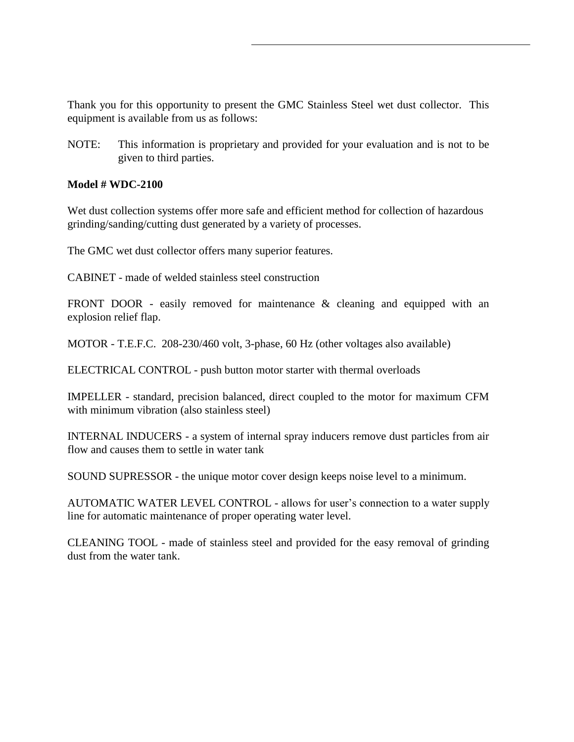Thank you for this opportunity to present the GMC Stainless Steel wet dust collector. This equipment is available from us as follows:

NOTE: This information is proprietary and provided for your evaluation and is not to be given to third parties.

## **Model # WDC-2100**

Wet dust collection systems offer more safe and efficient method for collection of hazardous grinding/sanding/cutting dust generated by a variety of processes.

The GMC wet dust collector offers many superior features.

CABINET - made of welded stainless steel construction

FRONT DOOR - easily removed for maintenance & cleaning and equipped with an explosion relief flap.

MOTOR - T.E.F.C. 208-230/460 volt, 3-phase, 60 Hz (other voltages also available)

ELECTRICAL CONTROL - push button motor starter with thermal overloads

IMPELLER - standard, precision balanced, direct coupled to the motor for maximum CFM with minimum vibration (also stainless steel)

INTERNAL INDUCERS - a system of internal spray inducers remove dust particles from air flow and causes them to settle in water tank

SOUND SUPRESSOR - the unique motor cover design keeps noise level to a minimum.

AUTOMATIC WATER LEVEL CONTROL - allows for user's connection to a water supply line for automatic maintenance of proper operating water level.

CLEANING TOOL - made of stainless steel and provided for the easy removal of grinding dust from the water tank.